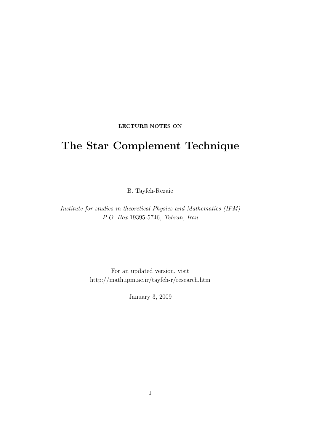#### LECTURE NOTES ON

# The Star Complement Technique

B. Tayfeh-Rezaie

Institute for studies in theoretical Physics and Mathematics (IPM) P.O. Box 19395-5746, Tehran, Iran

> For an updated version, visit http://math.ipm.ac.ir/tayfeh-r/research.htm

> > January 3, 2009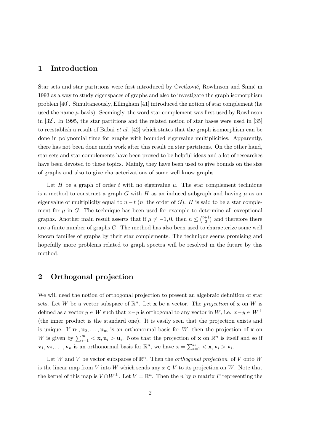## 1 Introduction

Star sets and star partitions were first introduced by Cvetković, Rowlinson and Simić in 1993 as a way to study eigenspaces of graphs and also to investigate the graph isomorphism problem [40]. Simultaneously, Ellingham [41] introduced the notion of star complement (he used the name  $\mu$ -basis). Seemingly, the word star complement was first used by Rowlinson in [32]. In 1995, the star partitions and the related notion of star bases were used in [35] to reestablish a result of Babai et al. [42] which states that the graph isomorphism can be done in polynomial time for graphs with bounded eigenvalue multiplicities. Apparently, there has not been done much work after this result on star partitions. On the other hand, star sets and star complements have been proved to be helpful ideas and a lot of researches have been devoted to these topics. Mainly, they have been used to give bounds on the size of graphs and also to give characterizations of some well know graphs.

Let H be a graph of order t with no eigenvalue  $\mu$ . The star complement technique is a method to construct a graph G with H as an induced subgraph and having  $\mu$  as an eigenvalue of multiplicity equal to  $n-t$  (n, the order of G). H is said to be a star complement for  $\mu$  in G. The technique has been used for example to determine all exceptional graphs. Another main result asserts that if  $\mu \neq -1, 0$ , then  $n \leq$  $\frac{1}{t+1}$ 2 ¢ and therefore there are a finite number of graphs G. The method has also been used to characterize some well known families of graphs by their star complements. The technique seems promising and hopefully more problems related to graph spectra will be resolved in the future by this method.

## 2 Orthogonal projection

We will need the notion of orthogonal projection to present an algebraic definition of star sets. Let W be a vector subspace of  $\mathbb{R}^n$ . Let **x** be a vector. The *projection* of **x** on W is defined as a vector  $y \in W$  such that  $x-y$  is orthogonal to any vector in W, i.e.  $x-y \in W^{\perp}$ (the inner product is the standard one). It is easily seen that the projection exists and is unique. If  $\mathbf{u}_1, \mathbf{u}_2, \ldots, \mathbf{u}_m$  is an orthonormal basis for W, then the projection of **x** on W is given by  $\sum_{i=1}^{m} < \mathbf{x}, \mathbf{u}_i > \mathbf{u}_i$ . Note that the projection of  $\mathbf{x}$  on  $\mathbb{R}^n$  is itself and so if  $\mathbf{v}_1, \mathbf{v}_2, \ldots, \mathbf{v}_n$  is an orthonormal basis for  $\mathbb{R}^n$ , we have  $\mathbf{x} = \sum_{i=1}^n$  $\sum\limits_{i=1}^n<\mathbf{x},\mathbf{v}_i>\mathbf{v}_i.$ 

Let W and V be vector subspaces of  $\mathbb{R}^n$ . Then the *orthogonal projection* of V onto W is the linear map from V into W which sends any  $x \in V$  to its projection on W. Note that the kernel of this map is  $V \cap W^{\perp}$ . Let  $V = \mathbb{R}^n$ . Then the n by n matrix P representing the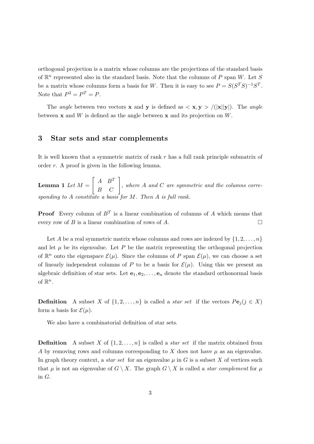orthogonal projection is a matrix whose columns are the projections of the standard basis of  $\mathbb{R}^n$  represented also in the standard basis. Note that the columns of P span W. Let S be a matrix whose columns form a basis for W. Then it is easy to see  $P = S(S^T S)^{-1} S^T$ . Note that  $P^2 = P^T = P$ .

The *angle* between two vectors **x** and **y** is defined as  $\langle \mathbf{x}, \mathbf{y} \rangle / (|\mathbf{x}||\mathbf{y}|)$ . The *angle* between  $x$  and W is defined as the angle between  $x$  and its projection on W.

#### 3 Star sets and star complements

It is well known that a symmetric matrix of rank  $r$  has a full rank principle submatrix of order r. A proof is given in the following lemma.

Lemma 1 Let  $M =$ .<br> $\overline{r}$  $A \quad B^T$  $\begin{bmatrix} A & B^T \\ B & C \end{bmatrix}$ , where A and C are symmetric and the columns corresponding to A constitute a basis for  $M$ . Then A is full rank.

**Proof** Every column of  $B<sup>T</sup>$  is a linear combination of columns of A which means that every row of B is a linear combination of rows of A.  $\Box$ 

Let A be a real symmetric matrix whose columns and rows are indexed by  $\{1, 2, \ldots, n\}$ and let  $\mu$  be its eigenvalue. Let P be the matrix representing the orthogonal projection of  $\mathbb{R}^n$  onto the eigenspace  $\mathcal{E}(\mu)$ . Since the columns of P span  $\mathcal{E}(\mu)$ , we can choose a set of linearly independent columns of P to be a basis for  $\mathcal{E}(\mu)$ . Using this we present an algebraic definition of star sets. Let  $e_1, e_2, \ldots, e_n$  denote the standard orthonormal basis of  $\mathbb{R}^n$ .

**Definition** A subset X of  $\{1, 2, ..., n\}$  is called a *star set* if the vectors  $Pe_i (j \in X)$ form a basis for  $\mathcal{E}(\mu)$ .

We also have a combinatorial definition of star sets.

**Definition** A subset X of  $\{1, 2, ..., n\}$  is called a *star set* if the matrix obtained from A by removing rows and columns corresponding to X does not have  $\mu$  as an eigenvalue. In graph theory context, a *star set* for an eigenvalue  $\mu$  in G is a subset X of vertices such that  $\mu$  is not an eigenvalue of  $G \setminus X$ . The graph  $G \setminus X$  is called a *star complement* for  $\mu$ in G.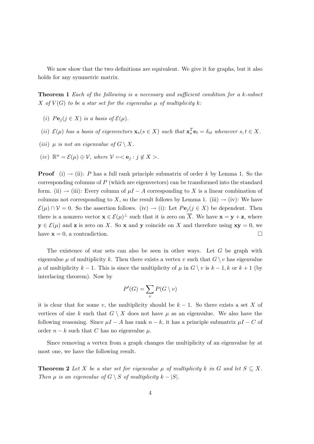We now show that the two definitions are equivalent. We give it for graphs, but it also holds for any symmetric matrix.

**Theorem 1** Each of the following is a necessary and sufficient condition for a k-subset X of  $V(G)$  to be a star set for the eigenvalue  $\mu$  of multiplicity k:

- (i)  $Pe_i (j \in X)$  is a basis of  $\mathcal{E}(\mu)$ .
- (ii)  $\mathcal{E}(\mu)$  has a basis of eigenvectors  $\mathbf{x}_s(s \in X)$  such that  $\mathbf{x}_s^T \mathbf{e}_t = \delta_{st}$  whenever  $s, t \in X$ .
- (iii)  $\mu$  is not an eigenvalue of  $G \setminus X$ .
- $(iv)$   $\mathbb{R}^n = \mathcal{E}(\mu) \oplus \mathcal{V}$ , where  $\mathcal{V} = \langle \mathbf{e}_j : j \notin X \rangle$ .

**Proof** (i)  $\rightarrow$  (ii): P has a full rank principle submatrix of order k by Lemma 1. So the corresponding columns of  $P$  (which are eigenvectors) can be transformed into the standard form. (ii)  $\rightarrow$  (iii): Every column of  $\mu I - A$  corresponding to X is a linear combination of columns not corresponding to X, so the result follows by Lemma 1. (iii)  $\rightarrow$  (iv): We have  $\mathcal{E}(\mu) \cap \mathcal{V} = 0$ . So the assertion follows. (iv)  $\rightarrow$  (i): Let  $Pe_j (j \in X)$  be dependent. Then there is a nonzero vector  $\mathbf{x} \in \mathcal{E}(\mu)^{\perp}$  such that it is zero on  $\overline{X}$ . We have  $\mathbf{x} = \mathbf{y} + \mathbf{z}$ , where  $y \in \mathcal{E}(\mu)$  and **z** is zero on X. So **x** and **y** coincide on X and therefore using  $xy = 0$ , we have  $\mathbf{x} = 0$ , a contradiction.

The existence of star sets can also be seen in other ways. Let  $G$  be graph with eigenvalue  $\mu$  of multiplicity k. Then there exists a vertex v such that  $G \setminus v$  has eigenvalue  $\mu$  of multiplicity  $k-1$ . This is since the multiplicity of  $\mu$  in  $G \setminus v$  is  $k-1$ , k or  $k+1$  (by interlacing theorem). Now by

$$
P'(G) = \sum_{v} P(G \setminus v)
$$

it is clear that for some v, the multiplicity should be  $k - 1$ . So there exists a set X of vertices of size k such that  $G \setminus X$  does not have  $\mu$  as an eigenvalue. We also have the following reasoning. Since  $\mu I - A$  has rank  $n - k$ , it has a principle submatrix  $\mu I - C$  of order  $n - k$  such that C has no eigenvalue  $\mu$ .

Since removing a vertex from a graph changes the multiplicity of an eigenvalue by at most one, we have the following result.

**Theorem 2** Let X be a star set for eigenvalue  $\mu$  of multiplicity k in G and let  $S \subseteq X$ . Then  $\mu$  is an eigenvalue of  $G \setminus S$  of multiplicity  $k - |S|$ .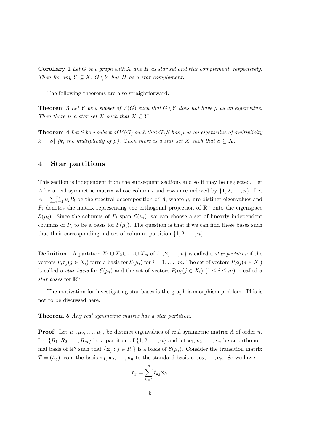**Corollary 1** Let G be a graph with X and H as star set and star complement, respectively. Then for any  $Y \subseteq X$ ,  $G \setminus Y$  has H as a star complement.

The following theorems are also straightforward.

**Theorem 3** Let Y be a subset of  $V(G)$  such that  $G \ Y$  does not have  $\mu$  as an eigenvalue. Then there is a star set X such that  $X \subseteq Y$ .

**Theorem 4** Let S be a subset of  $V(G)$  such that  $G\backslash S$  has  $\mu$  as an eigenvalue of multiplicity  $k - |S|$  (k, the multiplicity of  $\mu$ ). Then there is a star set X such that  $S \subseteq X$ .

#### 4 Star partitions

This section is independent from the subsequent sections and so it may be neglected. Let A be a real symmetric matrix whose columns and rows are indexed by  $\{1, 2, \ldots, n\}$ . Let  $A = \sum_{i=1}^{m}$  $\sum_{i=1}^{m} \mu_i P_i$  be the spectral decomposition of A, where  $\mu_i$  are distinct eigenvalues and  $P_i$  denotes the matrix representing the orthogonal projection of  $\mathbb{R}^n$  onto the eigenspace  $\mathcal{E}(\mu_i)$ . Since the columns of  $P_i$  span  $\mathcal{E}(\mu_i)$ , we can choose a set of linearly independent columns of  $P_i$  to be a basis for  $\mathcal{E}(\mu_i)$ . The question is that if we can find these bases such that their corresponding indices of columns partition  $\{1, 2, \ldots, n\}.$ 

**Definition** A partition  $X_1 \cup X_2 \cup \cdots \cup X_m$  of  $\{1, 2, \ldots, n\}$  is called a *star partition* if the vectors  $P_i\mathbf{e}_j (j \in X_i)$  form a basis for  $\mathcal{E}(\mu_i)$  for  $i = 1, \ldots, m$ . The set of vectors  $P_i\mathbf{e}_j (j \in X_i)$ is called a *star basis* for  $\mathcal{E}(\mu_i)$  and the set of vectors  $P_i\mathbf{e}_j (j \in X_i)$  ( $1 \leq i \leq m$ ) is called a star bases for  $\mathbb{R}^n$ .

The motivation for investigating star bases is the graph isomorphism problem. This is not to be discussed here.

Theorem 5 Any real symmetric matrix has a star partition.

**Proof** Let  $\mu_1, \mu_2, \ldots, \mu_m$  be distinct eigenvalues of real symmetric matrix A of order n. Let  $\{R_1, R_2, \ldots, R_m\}$  be a partition of  $\{1, 2, \ldots, n\}$  and let  $\mathbf{x}_1, \mathbf{x}_2, \ldots, \mathbf{x}_n$  be an orthonormal basis of  $\mathbb{R}^n$  such that  $\{x_j : j \in R_i\}$  is a basis of  $\mathcal{E}(\mu_i)$ . Consider the transition matrix  $T = (t_{ij})$  from the basis  $\mathbf{x}_1, \mathbf{x}_2, \dots, \mathbf{x}_n$  to the standard basis  $\mathbf{e}_1, \mathbf{e}_2, \dots, \mathbf{e}_n$ . So we have

$$
\mathbf{e}_j = \sum_{k=1}^n t_{kj} \mathbf{x}_k.
$$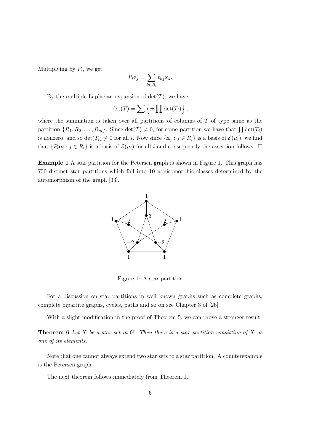Multiplying by  $P_i$ , we get

$$
P_i \mathbf{e}_j = \sum_{k \in R_i} t_{kj} \mathbf{x}_k.
$$

By the multiple Laplacian expansion of  $det(T)$ , we have

$$
\det(T) = \sum \left\{ \pm \prod \det(T_i) \right\},\,
$$

where the summation is taken over all partitions of columns of  $T$  of type same as the partition  $\{R_1, R_2, \ldots, R_m\}$ . Since  $\det(T) \neq 0$ , for some partition we have that  $\prod \det(T_i)$ is nonzero, and so  $\det(T_i) \neq 0$  for all i. Now since  $\{x_j : j \in R_i\}$  is a basis of  $\mathcal{E}(\mu_i)$ , we find that  $\{P_i\mathbf{e}_j : j \in R_i\}$  is a basis of  $\mathcal{E}(\mu_i)$  for all i and consequently the assertion follows.  $\Box$ 

Example 1 A star partition for the Petersen graph is shown in Figure 1. This graph has 750 distinct star partitions which fall into 10 nonisomorphic classes determined by the automorphism of the graph [33].



Figure 1: A star partition

For a discussion on star partitions in well known graphs such as complete graphs, complete bipartite graphs, cycles, paths and so on see Chapter 3 of [26].

With a slight modification in the proof of Theorem 5, we can prove a stronger result.

**Theorem 6** Let X be a star set in G. Then there is a star partition consisting of X as one of its elements.

Note that one cannot always extend two star sets to a star partition. A counterexample is the Petersen graph.

The next theorem follows immediately from Theorem 1.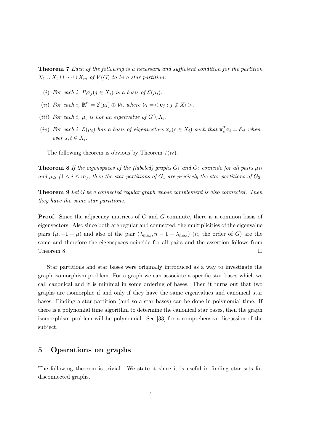Theorem 7 Each of the following is a necessary and sufficient condition for the partition  $X_1 \cup X_2 \cup \cdots \cup X_m$  of  $V(G)$  to be a star partition:

- (i) For each i,  $P_i\mathbf{e}_i (j \in X_i)$  is a basis of  $\mathcal{E}(\mu_i)$ .
- (ii) For each i,  $\mathbb{R}^n = \mathcal{E}(\mu_i) \oplus \mathcal{V}_i$ , where  $\mathcal{V}_i = \langle \mathbf{e}_j : j \notin X_i \rangle$ .
- (iii) For each i,  $\mu_i$  is not an eigenvalue of  $G \setminus X_i$ .
- (iv) For each i,  $\mathcal{E}(\mu_i)$  has a basis of eigenvectors  $\mathbf{x}_s(s \in X_i)$  such that  $\mathbf{x}_s^T \mathbf{e}_t = \delta_{st}$  whenever  $s, t \in X_i$ .

The following theorem is obvious by Theorem 7(iv).

**Theorem 8** If the eigenspaces of the (labeled) graphs  $G_1$  and  $G_2$  coincide for all pairs  $\mu_{1i}$ and  $\mu_{2i}$  ( $1 \le i \le m$ ), then the star partitions of  $G_1$  are precisely the star partitions of  $G_2$ .

Theorem 9 Let G be a connected regular graph whose complement is also connected. Then they have the same star partitions.

**Proof** Since the adjacency matrices of G and  $\overline{G}$  commute, there is a common basis of eigenvectors. Also since both are regular and connected, the multiplicities of the eigenvalue pairs  $(\mu, -1 - \mu)$  and also of the pair  $(\lambda_{\max}, n-1 - \lambda_{\max})$   $(n,$  the order of G) are the same and therefore the eigenspaces coincide for all pairs and the assertion follows from Theorem 8.  $\Box$ 

Star partitions and star bases were originally introduced as a way to investigate the graph isomorphism problem. For a graph we can associate a specific star bases which we call canonical and it is minimal in some ordering of bases. Then it turns out that two graphs are isomorphic if and only if they have the same eigenvalues and canonical star bases. Finding a star partition (and so a star bases) can be done in polynomial time. If there is a polynomial time algorithm to determine the canonical star bases, then the graph isomorphism problem will be polynomial. See [33] for a comprehensive discussion of the subject.

## 5 Operations on graphs

The following theorem is trivial. We state it since it is useful in finding star sets for disconnected graphs.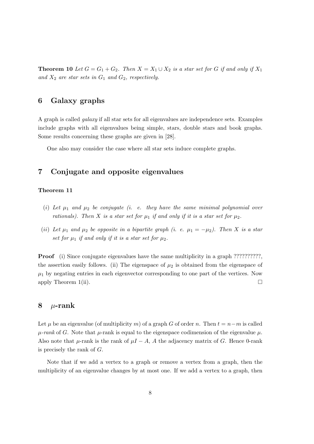**Theorem 10** Let  $G = G_1 + G_2$ . Then  $X = X_1 \cup X_2$  is a star set for G if and only if  $X_1$ and  $X_2$  are star sets in  $G_1$  and  $G_2$ , respectively.

## 6 Galaxy graphs

A graph is called galaxy if all star sets for all eigenvalues are independence sets. Examples include graphs with all eigenvalues being simple, stars, double stars and book graphs. Some results concerning these graphs are given in [28].

One also may consider the case where all star sets induce complete graphs.

## 7 Conjugate and opposite eigenvalues

#### Theorem 11

- (i) Let  $\mu_1$  and  $\mu_2$  be conjugate (i. e. they have the same minimal polynomial over rationals). Then X is a star set for  $\mu_1$  if and only if it is a star set for  $\mu_2$ .
- (ii) Let  $\mu_1$  and  $\mu_2$  be opposite in a bipartite graph (i. e.  $\mu_1 = -\mu_2$ ). Then X is a star set for  $\mu_1$  if and only if it is a star set for  $\mu_2$ .

**Proof** (i) Since conjugate eigenvalues have the same multiplicity in a graph ???????????, the assertion easily follows. (ii) The eigenspace of  $\mu_2$  is obtained from the eigenspace of  $\mu_1$  by negating entries in each eigenvector corresponding to one part of the vertices. Now apply Theorem 1(ii).  $\Box$ 

## 8  $\mu$ -rank

Let  $\mu$  be an eigenvalue (of multiplicity m) of a graph G of order n. Then  $t = n-m$  is called  $\mu$ -rank of G. Note that  $\mu$ -rank is equal to the eigenspace codimension of the eigenvalue  $\mu$ . Also note that  $\mu$ -rank is the rank of  $\mu I - A$ , A the adjacency matrix of G. Hence 0-rank is precisely the rank of G.

Note that if we add a vertex to a graph or remove a vertex from a graph, then the multiplicity of an eigenvalue changes by at most one. If we add a vertex to a graph, then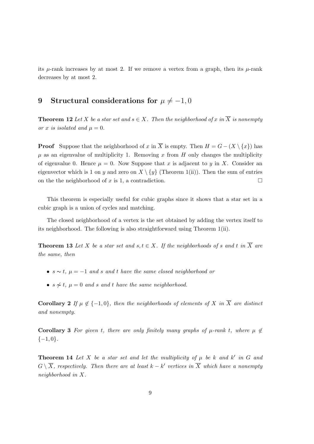its  $\mu$ -rank increases by at most 2. If we remove a vertex from a graph, then its  $\mu$ -rank decreases by at most 2.

## 9 Structural considerations for  $\mu \neq -1, 0$

**Theorem 12** Let X be a star set and  $s \in X$ . Then the neighborhood of x in  $\overline{X}$  is nonempty or x is isolated and  $\mu = 0$ .

**Proof** Suppose that the neighborhood of x in  $\overline{X}$  is empty. Then  $H = G - (X \setminus \{x\})$  has  $\mu$  as an eigenvalue of multiplicity 1. Removing x from H only changes the multiplicity of eigenvalue 0. Hence  $\mu = 0$ . Now Suppose that x is adjacent to y in X. Consider an eigenvector which is 1 on y and zero on  $X \setminus \{y\}$  (Theorem 1(ii)). Then the sum of entries on the the neighborhood of x is 1, a contradiction.  $\Box$ 

This theorem is especially useful for cubic graphs since it shows that a star set in a cubic graph is a union of cycles and matching.

The closed neighborhood of a vertex is the set obtained by adding the vertex itself to its neighborhood. The following is also straightforward using Theorem 1(ii).

**Theorem 13** Let X be a star set and s,  $t \in X$ . If the neighborhoods of s and t in  $\overline{X}$  are the same, then

- $s \sim t$ ,  $\mu = -1$  and s and t have the same closed neighborhood or
- $s \nsim t$ ,  $\mu = 0$  and s and t have the same neighborhood.

Corollary 2 If  $\mu \notin \{-1, 0\}$ , then the neighborhoods of elements of X in  $\overline{X}$  are distinct and nonempty.

Corollary 3 For given t, there are only finitely many graphs of  $\mu$ -rank t, where  $\mu \notin$  $\{-1,0\}.$ 

**Theorem 14** Let X be a star set and let the multiplicity of  $\mu$  be k and k' in G and  $G \setminus \overline{X}$ , respectively. Then there are at least  $k - k'$  vertices in  $\overline{X}$  which have a nonempty neighborhood in X.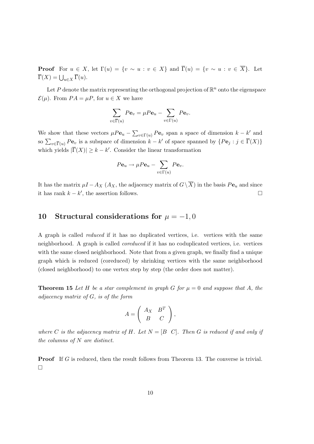**Proof** For  $u \in X$ , let  $\Gamma(u) = \{v \sim u : v \in X\}$  and  $\overline{\Gamma}(u) = \{v \sim u : v \in \overline{X}\}$ . Let  $\overline{\Gamma}(X) = \bigcup_{u \in X} \overline{\Gamma}(u).$ 

Let P denote the matrix representing the orthogonal projection of  $\mathbb{R}^n$  onto the eigenspace  $\mathcal{E}(\mu)$ . From  $PA = \mu P$ , for  $u \in X$  we have

$$
\sum_{v \in \overline{\Gamma}(u)} P \mathbf{e}_v = \mu P \mathbf{e}_u - \sum_{v \in \Gamma(u)} P \mathbf{e}_v.
$$

We show that these vectors  $\mu P \mathbf{e}_u$  –  $\overline{ }$  $v \in \Gamma(u)$  Pe<sub>v</sub> span a space of dimension  $k - k'$  and so  $\sum_{v \in \overline{\Gamma}(u)} Pe_v$  is a subspace of dimension  $k - k'$  of space spanned by  $\{Pe_j : j \in \overline{\Gamma}(X)\}$ which yields  $|\overline{\Gamma}(X)| \geq k - k'$ . Consider the linear transformation

$$
P\mathbf{e}_u \to \mu P\mathbf{e}_u - \sum_{v \in \Gamma(u)} P\mathbf{e}_v.
$$

It has the matrix  $\mu I - A_X (A_X)$ , the adjacency matrix of  $G\backslash \overline{X}$  in the basis  $Pe_u$  and since it has rank  $k - k'$ , the assertion follows.  $\square$ 

## 10 Structural considerations for  $\mu = -1, 0$

A graph is called reduced if it has no duplicated vertices, i.e. vertices with the same neighborhood. A graph is called coreduced if it has no coduplicated vertices, i.e. vertices with the same closed neighborhood. Note that from a given graph, we finally find a unique graph which is reduced (coreduced) by shrinking vertices with the same neighborhood (closed neighborhood) to one vertex step by step (the order does not matter).

**Theorem 15** Let H be a star complement in graph G for  $\mu = 0$  and suppose that A, the adjacency matrix of G, is of the form

$$
A = \left(\begin{array}{cc} A_X & B^T \\ B & C \end{array}\right),
$$

where C is the adjacency matrix of H. Let  $N = [B \ C]$ . Then G is reduced if and only if the columns of  $N$  are distinct.

**Proof** If G is reduced, then the result follows from Theorem 13. The converse is trivial. ¤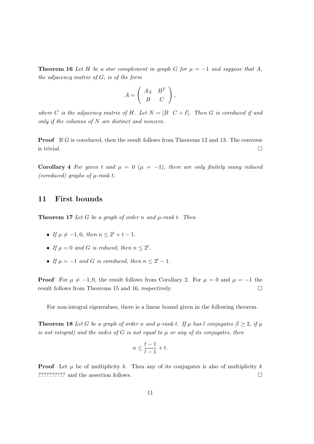**Theorem 16** Let H be a star complement in graph G for  $\mu = -1$  and suppose that A, the adjacency matrix of G, is of the form

$$
A = \left(\begin{array}{cc} A_X & B^T \\ B & C \end{array}\right),
$$

where C is the adjacency matrix of H. Let  $N = [B \ C + I]$ . Then G is coreduced if and only if the columns of N are distinct and nonzero.

**Proof** If G is coreduced, then the result follows from Theorems 12 and 13. The converse is trivial.  $\Box$ 

Corollary 4 For given t and  $\mu = 0$  ( $\mu = -1$ ), there are only finitely many reduced (coreduced) graphs of  $\mu$ -rank t.

## 11 First bounds

**Theorem 17** Let G be a graph of order n and  $\mu$ -rank t. Then

- If  $\mu \neq -1, 0$ , then  $n \leq 2^t + t 1$ .
- If  $\mu = 0$  and G is reduced, then  $n \leq 2^t$ .
- If  $\mu = -1$  and G is coreduced, then  $n \leq 2^t 1$ .

**Proof** For  $\mu \neq -1, 0$ , the result follows from Corollary 2. For  $\mu = 0$  and  $\mu = -1$  the result follows from Theorems 15 and 16, respectively.

For non-integral eigenvalues, there is a linear bound given in the following theorem.

**Theorem 18** Let G be a graph of order n and  $\mu$ -rank t. If  $\mu$  has l conjugates  $(l \geq 2, i \nmid \mu)$ is not integral) and the index of G is not equal to  $\mu$  or any of its conjugates, then

$$
n \le \frac{t-1}{l-1} + t.
$$

**Proof** Let  $\mu$  be of multiplicity k. Then any of its conjugates is also of multiplicity k. ?????????? and the assertion follows. ¤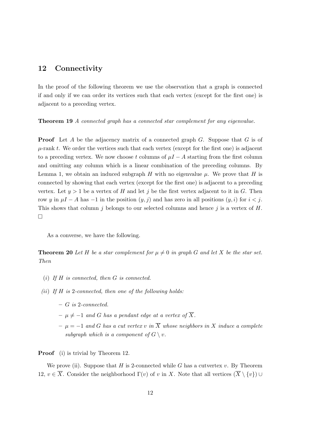## 12 Connectivity

In the proof of the following theorem we use the observation that a graph is connected if and only if we can order its vertices such that each vertex (except for the first one) is adjacent to a preceding vertex.

Theorem 19 A connected graph has a connected star complement for any eigenvalue.

**Proof** Let A be the adjacency matrix of a connected graph  $G$ . Suppose that  $G$  is of  $\mu$ -rank t. We order the vertices such that each vertex (except for the first one) is adjacent to a preceding vertex. We now choose t columns of  $\mu I - A$  starting from the first column and omitting any column which is a linear combination of the preceding columns. By Lemma 1, we obtain an induced subgraph H with no eigenvalue  $\mu$ . We prove that H is connected by showing that each vertex (except for the first one) is adjacent to a preceding vertex. Let  $y > 1$  be a vertex of H and let j be the first vertex adjacent to it in G. Then row y in  $\mu I - A$  has  $-1$  in the position  $(y, j)$  and has zero in all positions  $(y, i)$  for  $i < j$ . This shows that column j belongs to our selected columns and hence j is a vertex of  $H$ . ¤

As a converse, we have the following.

**Theorem 20** Let H be a star complement for  $\mu \neq 0$  in graph G and let X be the star set. Then

- (i) If  $H$  is connected, then  $G$  is connected.
- (ii) If  $H$  is 2-connected, then one of the following holds:
	- G is 2-connected.
	- $-\mu \neq -1$  and G has a pendant edge at a vertex of  $\overline{X}$ .
	- $− μ = −1$  and G has a cut vertex v in  $\overline{X}$  whose neighbors in X induce a complete subgraph which is a component of  $G \setminus v$ .

**Proof** (i) is trivial by Theorem 12.

We prove (ii). Suppose that H is 2-connected while G has a cutvertex v. By Theorem 12,  $v \in \overline{X}$ . Consider the neighborhood  $\Gamma(v)$  of v in X. Note that all vertices  $(\overline{X} \setminus \{v\}) \cup$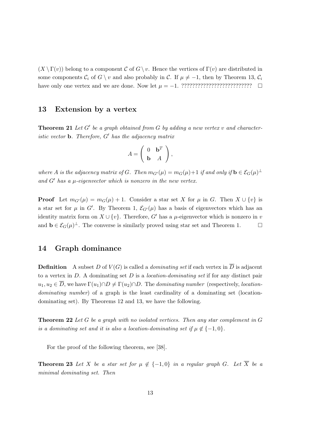$(X \setminus \Gamma(v))$  belong to a component C of  $G \setminus v$ . Hence the vertices of  $\Gamma(v)$  are distributed in some components  $C_i$  of  $G \setminus v$  and also probably in C. If  $\mu \neq -1$ , then by Theorem 13,  $C_i$ have only one vertex and we are done. Now let µ = −1. ?????????????????????????? ¤

#### 13 Extension by a vertex

**Theorem 21** Let  $G'$  be a graph obtained from  $G$  by adding a new vertex  $v$  and characteristic vector  $\mathbf b$ . Therefore,  $G'$  has the adjacency matrix

$$
A = \left(\begin{array}{cc} 0 & \mathbf{b}^T \\ \mathbf{b} & A \end{array}\right),
$$

where A is the adjacency matrix of G. Then  $m_{G'}(\mu) = m_G(\mu) + 1$  if and only if  $\mathbf{b} \in \mathcal{E}_G(\mu)$ <sup> $\perp$ </sup> and  $G'$  has a  $\mu$ -eigenvector which is nonzero in the new vertex.

**Proof** Let  $m_{G'}(\mu) = m_G(\mu) + 1$ . Consider a star set X for  $\mu$  in G. Then  $X \cup \{v\}$  is a star set for  $\mu$  in G'. By Theorem 1,  $\mathcal{E}_{G}(\mu)$  has a basis of eigenvectors which has an identity matrix form on  $X \cup \{v\}$ . Therefore, G' has a  $\mu$ -eigenvector which is nonzero in v and  $\mathbf{b} \in \mathcal{E}_G(\mu)^{\perp}$ . The converse is similarly proved using star set and Theorem 1.  $\Box$ 

#### 14 Graph dominance

**Definition** A subset D of  $V(G)$  is called a *dominating set* if each vertex in  $\overline{D}$  is adjacent to a vertex in  $D$ . A dominating set  $D$  is a *location-dominating set* if for any distinct pair  $u_1, u_2 \in \overline{D}$ , we have  $\Gamma(u_1) \cap D \neq \Gamma(u_2) \cap D$ . The dominating number (respectively, locationdominating number) of a graph is the least cardinality of a dominating set (locationdominating set). By Theorems 12 and 13, we have the following.

**Theorem 22** Let G be a graph with no isolated vertices. Then any star complement in  $G$ is a dominating set and it is also a location-dominating set if  $\mu \notin \{-1,0\}$ .

For the proof of the following theorem, see [38].

**Theorem 23** Let X be a star set for  $\mu \notin \{-1,0\}$  in a regular graph G. Let  $\overline{X}$  be a minimal dominating set. Then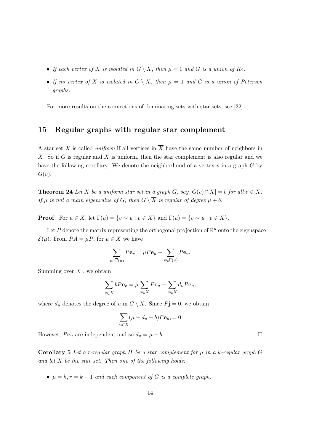- If each vertex of  $\overline{X}$  is isolated in  $G \setminus X$ , then  $\mu = 1$  and G is a union of  $K_2$ .
- If no vertex of  $\overline{X}$  is isolated in  $G \setminus X$ , then  $\mu = 1$  and G is a union of Petersen graphs.

For more results on the connections of dominating sets with star sets, see [22].

## 15 Regular graphs with regular star complement

A star set X is called *uniform* if all vertices in  $\overline{X}$  have the same number of neighbors in X. So if G is regular and X is uniform, then the star complement is also regular and we have the following corollary. We denote the neighborhood of a vertex  $v$  in a graph  $G$  by  $G(v)$ .

**Theorem 24** Let X be a uniform star set in a graph G, say  $|G(v) \cap X| = b$  for all  $v \in \overline{X}$ . If  $\mu$  is not a main eigenvalue of G, then  $G \setminus \overline{X}$  is regular of degree  $\mu + b$ .

**Proof** For  $u \in X$ , let  $\Gamma(u) = \{v \sim u : v \in X\}$  and  $\overline{\Gamma}(u) = \{v \sim u : v \in \overline{X}\}.$ 

Let P denote the matrix representing the orthogonal projection of  $\mathbb{R}^n$  onto the eigenspace  $\mathcal{E}(\mu)$ . From  $PA = \mu P$ , for  $u \in X$  we have

$$
\sum_{v \in \overline{\Gamma}(u)} P \mathbf{e}_v = \mu P \mathbf{e}_u - \sum_{v \in \Gamma(u)} P \mathbf{e}_v.
$$

Summing over  $X$ , we obtain

$$
\sum_{v \in \overline{X}} bP\mathbf{e}_v = \mu \sum_{u \in X} P\mathbf{e}_u - \sum_{u \in X} d_u P\mathbf{e}_u,
$$

where  $d_u$  denotes the degree of u in  $G \setminus \overline{X}$ . Since  $P$ **j** = 0, we obtain

$$
\sum_{u \in X} (\mu - d_u + b) P \mathbf{e}_u = 0
$$

However,  $Pe_u$  are independent and so  $d_u = \mu + b$ .

Corollary 5 Let a r-regular graph H be a star complement for  $\mu$  in a k-regular graph G and let  $X$  be the star set. Then one of the following holds:

•  $\mu = k, r = k - 1$  and each component of G is a complete graph.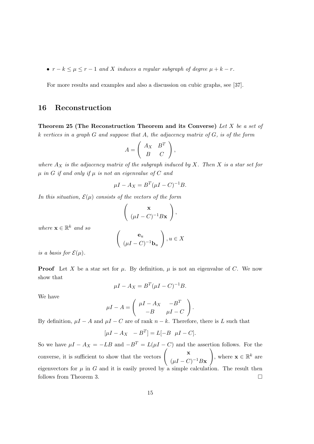•  $r - k \leq \mu \leq r - 1$  and X induces a regular subgraph of degree  $\mu + k - r$ .

For more results and examples and also a discussion on cubic graphs, see [37].

#### 16 Reconstruction

Theorem 25 (The Reconstruction Theorem and its Converse) Let X be a set of k vertices in a graph  $G$  and suppose that  $A$ , the adjacency matrix of  $G$ , is of the form  $\overline{a}$ 

$$
A = \left(\begin{array}{cc} A_X & B^T \\ B & C \end{array}\right),
$$

where  $A_X$  is the adjacency matrix of the subgraph induced by X. Then X is a star set for  $\mu$  in G if and only if  $\mu$  is not an eigenvalue of C and

$$
\mu I - A_X = B^T (\mu I - C)^{-1} B.
$$

In this situation,  $\mathcal{E}(\mu)$  consists of the vectors of the form

$$
\left(\begin{array}{c}\n\mathbf{x} \\
(\mu I - C)^{-1} B\mathbf{x}\n\end{array}\right),
$$

where  $\mathbf{x} \in \mathbb{R}^k$  and so

$$
\left(\begin{array}{c}\mathbf{e}_u\\(\mu I - C)^{-1}\mathbf{b}_u\end{array}\right), u \in X
$$

is a basis for  $\mathcal{E}(\mu)$ .

**Proof** Let X be a star set for  $\mu$ . By definition,  $\mu$  is not an eigenvalue of C. We now show that

$$
\mu I - A_X = B^T (\mu I - C)^{-1} B.
$$

We have

$$
\mu I - A = \begin{pmatrix} \mu I - A_X & -B^T \\ -B & \mu I - C \end{pmatrix}.
$$

By definition,  $\mu I - A$  and  $\mu I - C$  are of rank  $n - k$ . Therefore, there is L such that

$$
[\mu I - A_X \quad -B^T] = L[-B \quad \mu I - C].
$$

So we have  $\mu I - A_X = -LB$  and  $-B^T = L(\mu I - C)$  and the assertion follows. For the So we have  $\mu I - A_X = -LB$  and  $-B^* = L(\mu I - C)$  and to<br>converse, it is sufficient to show that the vectors  $\begin{pmatrix} x \\ y \end{pmatrix}$  $(\mu I - C)^{-1} B \mathbf{x}$ , where  $\mathbf{x} \in \mathbb{R}^k$  are eigenvectors for  $\mu$  in G and it is easily proved by a simple calculation. The result then follows from Theorem 3.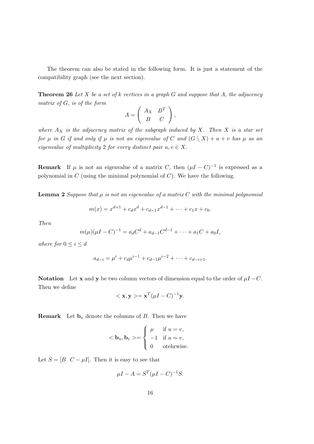The theorem can also be stated in the following form. It is just a statement of the compatibility graph (see the next section).

**Theorem 26** Let X be a set of k vertices in a graph G and suppose that A, the adjacency matrix of G, is of the form  $\overline{a}$ 

$$
A = \left(\begin{array}{cc} A_X & B^T \\ B & C \end{array}\right),
$$

where  $A_X$  is the adjacency matrix of the subgraph induced by X. Then X is a star set for  $\mu$  in G if and only if  $\mu$  is not an eigenvalue of C and  $(G \setminus X) + u + v$  has  $\mu$  as an eigenvalue of multiplicity 2 for every distinct pair  $u, v \in X$ .

**Remark** If  $\mu$  is not an eigenvalue of a matrix C, then  $(\mu I - C)^{-1}$  is expressed as a polynomial in  $C$  (using the minimal polynomial of  $C$ ). We have the following.

**Lemma 2** Suppose that  $\mu$  is not an eigenvalue of a matrix C with the minimal polynomial

$$
m(x) = x^{d+1} + c_d x^d + c_{d-1} x^{d-1} + \dots + c_1 x + c_0.
$$

Then

$$
m(\mu)(\mu I - C)^{-1} = a_d C^d + a_{d-1} C^{d-1} + \dots + a_1 C + a_0 I,
$$

where for  $0 \leq i \leq d$ 

$$
a_{d-i} = \mu^i + c_d \mu^{i-1} + c_{d-1} \mu^{i-2} + \dots + c_{d-i+1}.
$$

Notation Let x and y be two column vectors of dimension equal to the order of  $\mu I - C$ . Then we define

$$
\langle \mathbf{x}, \mathbf{y} \rangle = \mathbf{x}^T (\mu I - C)^{-1} \mathbf{y}.
$$

**Remark** Let  $\mathbf{b}_u$  denote the columns of B. Then we have

$$
\langle \mathbf{b}_u, \mathbf{b}_v \rangle = \begin{cases} \mu & \text{if } u = v, \\ -1 & \text{if } u \sim v, \\ 0 & \text{otherwise.} \end{cases}
$$

Let  $S = [B \ C - \mu I]$ . Then it is easy to see that

$$
\mu I - A = S^T (\mu I - C)^{-1} S.
$$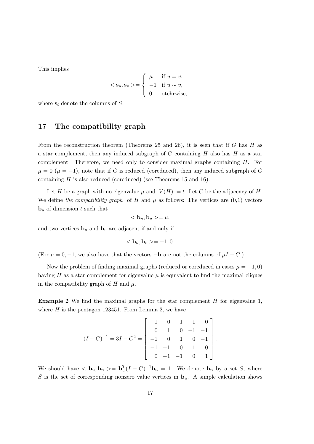This implies

$$
\langle \mathbf{s}_u, \mathbf{s}_v \rangle = \begin{cases} \mu & \text{if } u = v, \\ -1 & \text{if } u \sim v, \\ 0 & \text{otherwise,} \end{cases}
$$

where  $s_i$  denote the columns of S.

## 17 The compatibility graph

From the reconstruction theorem (Theorems 25 and 26), it is seen that if G has H as a star complement, then any induced subgraph of  $G$  containing  $H$  also has  $H$  as a star complement. Therefore, we need only to consider maximal graphs containing H. For  $\mu = 0$  ( $\mu = -1$ ), note that if G is reduced (coreduced), then any induced subgraph of G containing  $H$  is also reduced (coreduced) (see Theorems 15 and 16).

Let H be a graph with no eigenvalue  $\mu$  and  $|V(H)| = t$ . Let C be the adjacency of H. We define the compatibility graph of H and  $\mu$  as follows: The vertices are  $(0,1)$  vectors  **of dimension t such that** 

$$
<\mathbf{b}_u,\mathbf{b}_u>=\mu,
$$

and two vertices  $\mathbf{b}_u$  and  $\mathbf{b}_v$  are adjacent if and only if

$$
\langle \mathbf{b}_u, \mathbf{b}_v \rangle = -1, 0.
$$

(For  $\mu = 0, -1$ , we also have that the vectors  $-\mathbf{b}$  are not the columns of  $\mu I - C$ .)

Now the problem of finding maximal graphs (reduced or coreduced in cases  $\mu = -1, 0$ ) having H as a star complement for eigenvalue  $\mu$  is equivalent to find the maximal cliques in the compatibility graph of H and  $\mu$ .

**Example 2** We find the maximal graphs for the star complement  $H$  for eigenvalue 1, where  $H$  is the pentagon 123451. From Lemma 2, we have

$$
(I - C)^{-1} = 3I - C^{2} = \begin{bmatrix} 1 & 0 & -1 & -1 & 0 \\ 0 & 1 & 0 & -1 & -1 \\ -1 & 0 & 1 & 0 & -1 \\ -1 & -1 & 0 & 1 & 0 \\ 0 & -1 & -1 & 0 & 1 \end{bmatrix}
$$

.

We should have  $\langle \mathbf{b}_u, \mathbf{b}_u \rangle = \mathbf{b}_u^T (I - C)^{-1} \mathbf{b}_u = 1$ . We denote  $\mathbf{b}_u$  by a set S, where S is the set of corresponding nonzero value vertices in  $\mathbf{b}_u$ . A simple calculation shows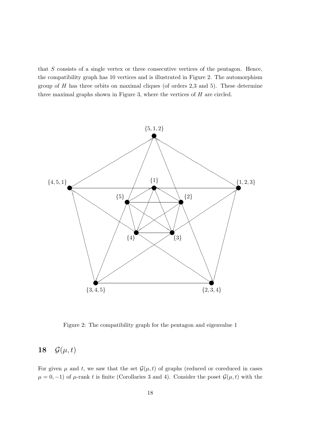that  $S$  consists of a single vertex or three consecutive vertices of the pentagon. Hence, the compatibility graph has 10 vertices and is illustrated in Figure 2. The automorphism group of  $H$  has three orbits on maximal cliques (of orders 2,3 and 5). These determine three maximal graphs shown in Figure 3, where the vertices of H are circled.



Figure 2: The compatibility graph for the pentagon and eigenvalue 1

## 18  $\mathcal{G}(\mu, t)$

For given  $\mu$  and t, we saw that the set  $\mathcal{G}(\mu, t)$  of graphs (reduced or coreduced in cases  $\mu = 0, -1$ ) of  $\mu$ -rank t is finite (Corollaries 3 and 4). Consider the poset  $\mathcal{G}(\mu, t)$  with the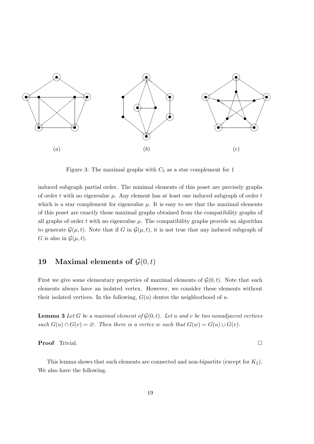

Figure 3: The maximal graphs with  $C_5$  as a star complement for 1

induced subgraph partial order. The minimal elements of this poset are precisely graphs of order t with no eigenvalue  $\mu$ . Any element has at least one induced subgraph of order t which is a star complement for eigenvalue  $\mu$ . It is easy to see that the maximal elements of this poset are exactly those maximal graphs obtained from the compatibility graphs of all graphs of order t with no eigenvalue  $\mu$ . The compatibility graphs provide an algorithm to generate  $\mathcal{G}(\mu, t)$ . Note that if G in  $\mathcal{G}(\mu, t)$ , it is not true that any induced subgraph of G is also in  $\mathcal{G}(\mu, t)$ .

## 19 Maximal elements of  $\mathcal{G}(0,t)$

First we give some elementary properties of maximal elements of  $\mathcal{G}(0, t)$ . Note that such elements always have an isolated vertex. However, we consider these elements without their isolated vertices. In the following,  $G(u)$  dentes the neighborhood of u.

**Lemma 3** Let G be a maximal element of  $\mathcal{G}(0,t)$ . Let u and v be two nonadjacent vertices such  $G(u) \cap G(v) = \emptyset$ . Then there is a vertex w such that  $G(w) = G(u) \cup G(v)$ .

Proof Trivial. □

This lemma shows that such elements are connected and non-bipartite (except for  $K_2$ ). We also have the following.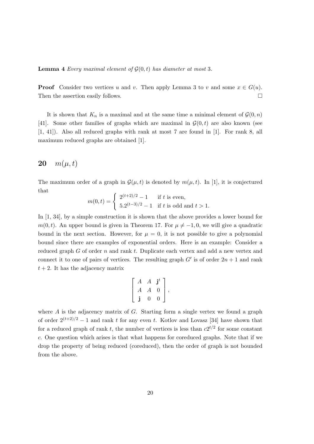**Lemma 4** Every maximal element of  $\mathcal{G}(0,t)$  has diameter at most 3.

**Proof** Consider two vertices u and v. Then apply Lemma 3 to v and some  $x \in G(u)$ . Then the assertion easily follows.  $\Box$ 

It is shown that  $K_n$  is a maximal and at the same time a minimal element of  $\mathcal{G}(0,n)$ [41]. Some other families of graphs which are maximal in  $\mathcal{G}(0,t)$  are also known (see [1, 41]). Also all reduced graphs with rank at most 7 are found in [1]. For rank 8, all maximum reduced graphs are obtained [1].

## **20**  $m(\mu, t)$

The maximum order of a graph in  $\mathcal{G}(\mu, t)$  is denoted by  $m(\mu, t)$ . In [1], it is conjectured that

$$
m(0,t) = \begin{cases} 2^{(t+2)/2} - 1 & \text{if } t \text{ is even,} \\ 5.2^{(t-3)/2} - 1 & \text{if } t \text{ is odd and } t > 1. \end{cases}
$$

In [1, 34], by a simple construction it is shown that the above provides a lower bound for m(0, t). An upper bound is given in Theorem 17. For  $\mu \neq -1, 0$ , we will give a quadratic bound in the next section. However, for  $\mu = 0$ , it is not possible to give a polynomial bound since there are examples of exponential orders. Here is an example: Consider a reduced graph G of order n and rank t. Duplicate each vertex and add a new vertex and connect it to one of pairs of vertices. The resulting graph  $G'$  is of order  $2n + 1$  and rank  $t + 2$ . It has the adjacency matrix

$$
\left[\begin{array}{ccc} A & A & \mathbf{j}^t \\ A & A & 0 \\ \mathbf{j} & 0 & 0 \end{array}\right],
$$

where  $A$  is the adjacency matrix of  $G$ . Starting form a single vertex we found a graph of order  $2^{(t+2)/2} - 1$  and rank t for any even t. Kotlov and Lovasz [34] have shown that for a reduced graph of rank t, the number of vertices is less than  $c2^{t/2}$  for some constant c. One question which arises is that what happens for coreduced graphs. Note that if we drop the property of being reduced (coreduced), then the order of graph is not bounded from the above.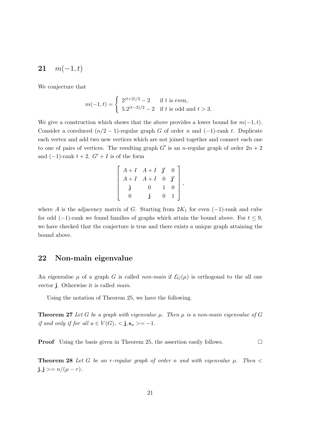## 21  $m(-1, t)$

We conjecture that

$$
m(-1,t) = \begin{cases} 2^{(t+2)/2} - 2 & \text{if } t \text{ is even,} \\ 5.2^{(t-3)/2} - 2 & \text{if } t \text{ is odd and } t > 3. \end{cases}
$$

We give a construction which shows that the above provides a lower bound for  $m(-1, t)$ . Consider a coreduced  $(n/2 - 1)$ -regular graph G of order n and  $(-1)$ -rank t. Duplicate each vertex and add two new vertices which are not joined together and connect each one to one of pairs of vertices. The resulting graph  $G'$  is an *n*-regular graph of order  $2n + 2$ and  $(-1)$ -rank  $t + 2$ .  $G' + I$  is of the form

$$
\left[\begin{array}{cccc}A+I & A+I & \mathbf{j}^t & 0 \\ A+I & A+I & 0 & \mathbf{j}^t \\ \mathbf{j} & 0 & 1 & 0 \\ 0 & \mathbf{j} & 0 & 1\end{array}\right],
$$

where A is the adjacency matrix of G. Starting from  $2K_1$  for even  $(-1)$ -rank and cube for odd (−1)-rank we found families of graphs which attain the bound above. For  $t \leq 9$ , we have checked that the conjecture is true and there exists a unique graph attaining the bound above.

## 22 Non-main eigenvalue

An eigenvalue  $\mu$  of a graph G is called non-main if  $\mathcal{E}_G(\mu)$  is orthogonal to the all one vector j. Otherwise it is called main.

Using the notation of Theorem 25, we have the following.

**Theorem 27** Let G be a graph with eigenvalue  $\mu$ . Then  $\mu$  is a non-main eigenvalue of G if and only if for all  $u \in V(G)$ ,  $\langle$ **j**,  $\mathbf{s}_u \rangle = -1$ .

**Proof** Using the basis given in Theorem 25, the assertion easily follows.  $\Box$ 

**Theorem 28** Let G be an r-regular graph of order n and with eigenvalue  $\mu$ . Then  $\lt$  $j, j \geq n/(\mu - r)$ .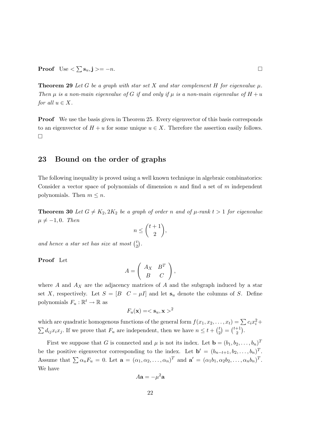**Theorem 29** Let G be a graph with star set X and star complement H for eigenvalue  $\mu$ . Then  $\mu$  is a non-main eigenvalue of G if and only if  $\mu$  is a non-main eigenvalue of  $H + u$ for all  $u \in X$ .

Proof We use the basis given in Theorem 25. Every eigenvector of this basis corresponds to an eigenvector of  $H + u$  for some unique  $u \in X$ . Therefore the assertion easily follows. ¤

## 23 Bound on the order of graphs

The following inequality is proved using a well known technique in algebraic combinatorics: Consider a vector space of polynomials of dimension n and find a set of m independent polynomials. Then  $m \leq n$ .

**Theorem 30** Let  $G \neq K_2, 2K_2$  be a graph of order n and of  $\mu$ -rank  $t > 1$  for eigenvalue  $\mu \neq -1, 0$ . Then  $\overline{a}$  $\mathbf{r}$ 

$$
n \leq {t+1 \choose 2},
$$

.

and hence a star set has size at most  $\binom{t}{2}$ 2

Proof Let

$$
A = \left(\begin{array}{cc} A_X & B^T \\ B & C \end{array}\right),
$$

where  $A$  and  $A_X$  are the adjacency matrices of  $A$  and the subgraph induced by a star set X, respectively. Let  $S = [B \ C - \mu I]$  and let  $s_u$  denote the columns of S. Define polynomials  $F_u : \mathbb{R}^t \to \mathbb{R}$  as

$$
F_u(\mathbf{x}) = \langle \mathbf{s}_u, \mathbf{x} \rangle^2
$$

which are quadratic homogenous functions of the general form  $f(x_1, x_2, \ldots, x_t) = \sum c_i x_i^2 +$ which are quadratic homogenous randoms of the general form  $f(x_1, x_2, \dots)$ .<br>  $\sum d_{ij}x_ix_j$ . If we prove that  $F_u$  are independent, then we have  $n \le t + {t \choose 2}$ 2  $\ddot{\phantom{a}}$ =  $\frac{1}{t+1}$ 2  $\stackrel{\angle}{\longleftarrow}$ .

First we suppose that G is connected and  $\mu$  is not its index. Let  $\mathbf{b} = (b_1, b_2, \dots, b_n)^T$ be the positive eigenvector corresponding to the index. Let  $\mathbf{b}' = (b_{n-t+1}, b_2, \ldots, b_n)^T$ . Assume that  $\sum \alpha_u F_u = 0$ . Let  $\mathbf{a} = (\alpha_1, \alpha_2, ..., \alpha_n)^T$  and  $\mathbf{a'} = (\alpha_1 b_1, \alpha_2 b_2, ..., \alpha_n b_n)^T$ . We have

$$
A\mathbf{a} = -\mu^2 \mathbf{a}
$$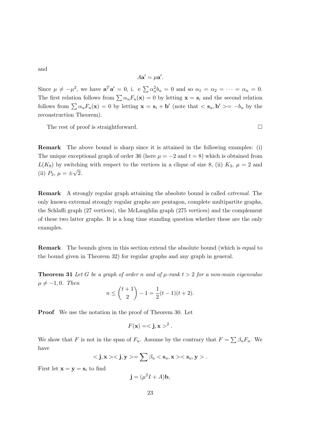and

$$
A\mathbf{a}' = \mu \mathbf{a}'.
$$

Since  $\mu \neq -\mu^2$ , we have  $\mathbf{a}^T \mathbf{a}' = 0$ , i. e  $\sum \alpha_u^2 b_u = 0$  and so  $\alpha_1 = \alpha_2 = \cdots = \alpha_n = 0$ . The first relation follows from  $\sum \alpha_u F_u(\mathbf{x}) = 0$  by letting  $\mathbf{x} = \mathbf{s}_i$  and the second relation follows from  $\sum \alpha_u F_u(\mathbf{x}) = 0$  by letting  $\mathbf{x} = \mathbf{s}_i + \mathbf{b}'$  (note that  $\langle \mathbf{s}_u, \mathbf{b}' \rangle = -b_u$  by the reconstruction Theorem).

The rest of proof is straightforward.  $\Box$ 

Remark The above bound is sharp since it is attained in the following examples: (i) The unique exceptional graph of order 36 (here  $\mu = -2$  and  $t = 8$ ) which is obtained from  $L(K_8)$  by switching with respect to the vertices in a clique of size 8, (ii)  $K_3$ ,  $\mu = 2$  and (ii)  $P_3, \mu = \pm \sqrt{2}.$ 

Remark A strongly regular graph attaining the absolute bound is called extremal. The only known extremal strongly regular graphs are pentagon, complete multipartite graphs, the Schlafli graph (27 vertices), the McLaughlin graph (275 vertices) and the complement of these two latter graphs. It is a long time standing question whether these are the only examples.

Remark The bounds given in this section extend the absolute bound (which is equal to the bound given in Theorem 32) for regular graphs and any graph in general.

**Theorem 31** Let G be a graph of order n and of  $\mu$ -rank  $t > 2$  for a non-main eigenvalue  $\mu \neq -1, 0$ . Then  $\overline{a}$  $\mathbf{r}$ 

$$
n \le \binom{t+1}{2} - 1 = \frac{1}{2}(t-1)(t+2).
$$

Proof We use the notation in the proof of Theorem 30. Let

$$
F(\mathbf{x}) = \langle \mathbf{j}, \mathbf{x} \rangle^2.
$$

We show that F is not in the span of  $F_u$ . Assume by the contrary that  $F = \sum \beta_u F_u$ . We have

$$
<\mathbf{j},\mathbf{x}><\mathbf{j},\mathbf{y}>=\sum \beta_u<\mathbf{s}_u,\mathbf{x}><\mathbf{s}_u,\mathbf{y}>.
$$

First let  $\mathbf{x} = \mathbf{y} = \mathbf{s}_i$  to find

 $\mathbf{j} = (\mu^2 I + A)\mathbf{b},$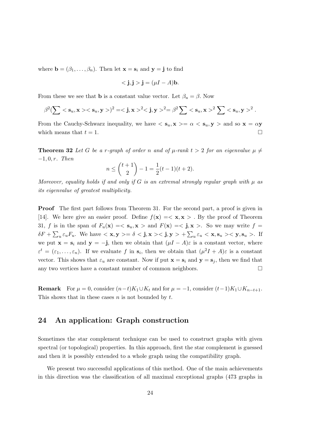where  $\mathbf{b} = (\beta_1, \dots, \beta_n)$ . Then let  $\mathbf{x} = \mathbf{s}_i$  and  $\mathbf{y} = \mathbf{j}$  to find

$$
\langle \mathbf{j}, \mathbf{j} \rangle = (\mu I - A)\mathbf{b}.
$$

From these we see that **b** is a constant value vector. Let  $\beta_u = \beta$ . Now

$$
\beta^2 (\sum \langle \mathbf{s}_u, \mathbf{x} \rangle \langle \mathbf{s}_u, \mathbf{y} \rangle)^2 = \langle \mathbf{j}, \mathbf{x} \rangle^2 \langle \mathbf{j}, \mathbf{y} \rangle^2 = \beta^2 \sum \langle \mathbf{s}_u, \mathbf{x} \rangle^2 \sum \langle \mathbf{s}_u, \mathbf{y} \rangle^2.
$$

From the Cauchy-Schwarz inequality, we have  $\langle s_u, \mathbf{x} \rangle = \alpha \langle s_u, \mathbf{y} \rangle$  and so  $\mathbf{x} = \alpha \mathbf{y}$ which means that  $t = 1$ .

**Theorem 32** Let G be a r-graph of order n and of  $\mu$ -rank  $t > 2$  for an eigenvalue  $\mu \neq$  $-1, 0, r.$  Then  $\overline{a}$  $\mathbf{r}$ 

$$
n \le \binom{t+1}{2} - 1 = \frac{1}{2}(t-1)(t+2).
$$

Moreover, equality holds if and only if G is an extremal strongly regular graph with  $\mu$  as its eigenvalue of greatest multiplicity.

Proof The first part follows from Theorem 31. For the second part, a proof is given in [14]. We here give an easier proof. Define  $f(\mathbf{x}) = \langle \mathbf{x}, \mathbf{x} \rangle$ . By the proof of Theorem 31, f is in the span of  $F_u(\mathbf{x}) = \langle \mathbf{s}_u, \mathbf{x} \rangle$  and  $F(\mathbf{x}) = \langle \mathbf{j}, \mathbf{x} \rangle$ . So we may write  $f =$  $\delta F\ +$  $\ddot{ }$  $\sum_{u \in u} E_u$ . We have  $\langle x, y \rangle = \delta \langle \mathbf{j}, x \rangle \langle \mathbf{j}, y \rangle +$  $\overline{\phantom{a}}$  $u \varepsilon_u < \mathbf{x}, \mathbf{s}_u > < \mathbf{y}, \mathbf{s}_u >$ . If we put  $\mathbf{x} = \mathbf{s}_i$  and  $\mathbf{y} = -\mathbf{j}$ , then we obtain that  $(\mu I - A)\varepsilon$  is a constant vector, where  $\varepsilon^t = (\varepsilon_1, \ldots, \varepsilon_n)$ . If we evaluate f in  $s_i$ , then we obtain that  $(\mu^2 I + A)\varepsilon$  is a constant vector. This shows that  $\varepsilon_u$  are constant. Now if put  $\mathbf{x} = \mathbf{s}_i$  and  $\mathbf{y} = \mathbf{s}_j$ , then we find that any two vertices have a constant number of common neighbors.  $\Box$ 

**Remark** For  $\mu = 0$ , consider  $(n-t)K_1 \cup K_t$  and for  $\mu = -1$ , consider  $(t-1)K_1 \cup K_{n-t+1}$ . This shows that in these cases  $n$  is not bounded by  $t$ .

## 24 An application: Graph construction

Sometimes the star complement technique can be used to construct graphs with given spectral (or topological) properties. In this approach, first the star complement is guessed and then it is possibly extended to a whole graph using the compatibility graph.

We present two successful applications of this method. One of the main achievements in this direction was the classification of all maximal exceptional graphs (473 graphs in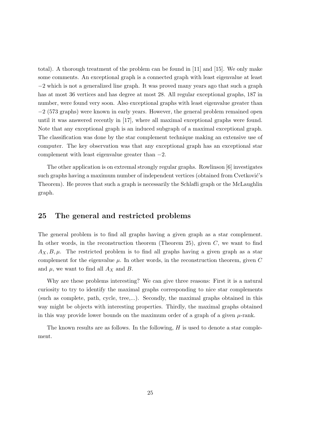total). A thorough treatment of the problem can be found in [11] and [15]. We only make some comments. An exceptional graph is a connected graph with least eigenvalue at least −2 which is not a generalized line graph. It was proved many years ago that such a graph has at most 36 vertices and has degree at most 28. All regular exceptional graphs, 187 in number, were found very soon. Also exceptional graphs with least eigenvalue greater than −2 (573 graphs) were known in early years. However, the general problem remained open until it was answered recently in [17], where all maximal exceptional graphs were found. Note that any exceptional graph is an induced subgraph of a maximal exceptional graph. The classification was done by the star complement technique making an extensive use of computer. The key observation was that any exceptional graph has an exceptional star complement with least eigenvalue greater than  $-2$ .

The other application is on extremal strongly regular graphs. Rowlinson [6] investigates such graphs having a maximum number of independent vertices (obtained from Cvetković's Theorem). He proves that such a graph is necessarily the Schlafli graph or the McLaughlin graph.

## 25 The general and restricted problems

The general problem is to find all graphs having a given graph as a star complement. In other words, in the reconstruction theorem (Theorem 25), given  $C$ , we want to find  $A_X, B, \mu$ . The restricted problem is to find all graphs having a given graph as a star complement for the eigenvalue  $\mu$ . In other words, in the reconstruction theorem, given C and  $\mu$ , we want to find all  $A_X$  and B.

Why are these problems interesting? We can give three reasons: First it is a natural curiosity to try to identify the maximal graphs corresponding to nice star complements (such as complete, path, cycle, tree,...). Secondly, the maximal graphs obtained in this way might be objects with interesting properties. Thirdly, the maximal graphs obtained in this way provide lower bounds on the maximum order of a graph of a given  $\mu$ -rank.

The known results are as follows. In the following,  $H$  is used to denote a star complement.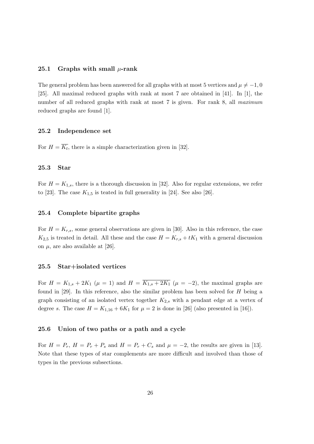#### 25.1 Graphs with small  $\mu$ -rank

The general problem has been answered for all graphs with at most 5 vertices and  $\mu \neq -1, 0$ [25]. All maximal reduced graphs with rank at most 7 are obtained in [41]. In [1], the number of all reduced graphs with rank at most 7 is given. For rank 8, all maximum reduced graphs are found [1].

#### 25.2 Independence set

For  $H = \overline{K_t}$ , there is a simple characterization given in [32].

#### 25.3 Star

For  $H = K_{1,s}$ , there is a thorough discussion in [32]. Also for regular extensions, we refer to [23]. The case  $K_{1,5}$  is teated in full generality in [24]. See also [26].

#### 25.4 Complete bipartite graphs

For  $H = K_{r,s}$ , some general observations are given in [30]. Also in this reference, the case  $K_{2,5}$  is treated in detail. All these and the case  $H = K_{r,s} + tK_1$  with a general discussion on  $\mu$ , are also available at [26].

#### 25.5 Star+isolated vertices

For  $H = K_{1,s} + 2K_1$  ( $\mu = 1$ ) and  $H = \overline{K_{1,s} + 2K_1}$  ( $\mu = -2$ ), the maximal graphs are found in  $[29]$ . In this reference, also the similar problem has been solved for H being a graph consisting of an isolated vertex together  $K_{2,s}$  with a pendant edge at a vertex of degree s. The case  $H = K_{1,16} + 6K_1$  for  $\mu = 2$  is done in [26] (also presented in [16]).

#### 25.6 Union of two paths or a path and a cycle

For  $H = P_r$ ,  $H = P_r + P_s$  and  $H = P_r + C_s$  and  $\mu = -2$ , the results are given in [13]. Note that these types of star complements are more difficult and involved than those of types in the previous subsections.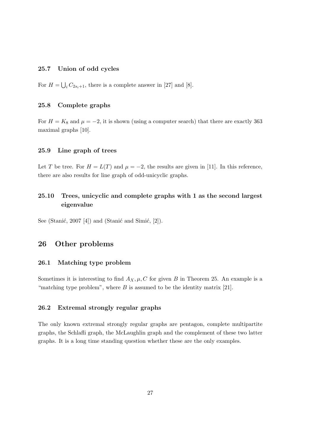#### 25.7 Union of odd cycles

For  $H =$ S  $i_{i} C_{2s_{i}+1}$ , there is a complete answer in [27] and [8].

#### 25.8 Complete graphs

For  $H = K_8$  and  $\mu = -2$ , it is shown (using a computer search) that there are exactly 363 maximal graphs [10].

#### 25.9 Line graph of trees

Let T be tree. For  $H = L(T)$  and  $\mu = -2$ , the results are given in [11]. In this reference, there are also results for line graph of odd-unicyclic graphs.

## 25.10 Trees, unicyclic and complete graphs with 1 as the second largest eigenvalue

See (Stanić, 2007 [4]) and (Stanić and Simić, [2]).

#### 26 Other problems

#### 26.1 Matching type problem

Sometimes it is interesting to find  $A_X, \mu, C$  for given B in Theorem 25. An example is a "matching type problem", where  $B$  is assumed to be the identity matrix [21].

#### 26.2 Extremal strongly regular graphs

The only known extremal strongly regular graphs are pentagon, complete multipartite graphs, the Schlafli graph, the McLaughlin graph and the complement of these two latter graphs. It is a long time standing question whether these are the only examples.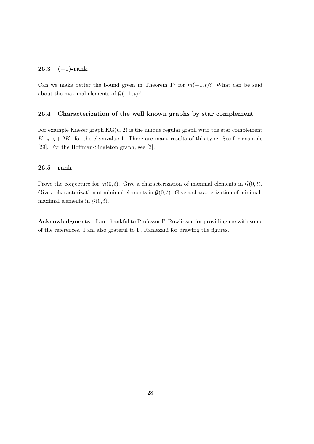#### 26.3 (−1)-rank

Can we make better the bound given in Theorem 17 for  $m(-1, t)$ ? What can be said about the maximal elements of  $\mathcal{G}(-1, t)$ ?

#### 26.4 Characterization of the well known graphs by star complement

For example Kneser graph  $KG(n, 2)$  is the unique regular graph with the star complement  $K_{1,n-3} + 2K_1$  for the eigenvalue 1. There are many results of this type. See for example [29]. For the Hoffman-Singleton graph, see [3].

#### 26.5 rank

Prove the conjecture for  $m(0, t)$ . Give a characterization of maximal elements in  $\mathcal{G}(0, t)$ . Give a characterization of minimal elements in  $\mathcal{G}(0, t)$ . Give a characterization of minimalmaximal elements in  $\mathcal{G}(0,t)$ .

Acknowledgments I am thankful to Professor P. Rowlinson for providing me with some of the references. I am also grateful to F. Ramezani for drawing the figures.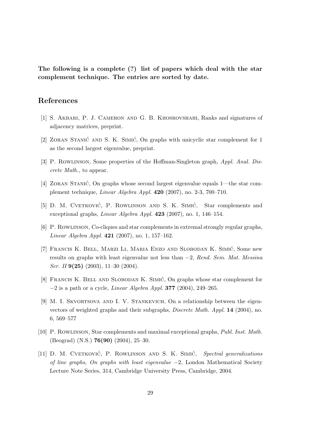The following is a complete (?) list of papers which deal with the star complement technique. The entries are sorted by date.

## References

- [1] S. Akbari, P. J. Cameron and G. B. Khosrovshahi, Ranks and signatures of adjacency matrices, preprint.
- [2] ZORAN STANIĆ AND S. K. SIMIĆ, On graphs with unicyclic star complement for 1 as the second largest eigenvalue, preprint.
- [3] P. Rowlinson, Some properties of the Hoffman-Singleton graph, Appl. Anal. Discrete Math., to appear.
- [4] ZORAN STANIĆ, On graphs whose second largest eigenvalue equals 1—the star complement technique, Linear Algebra Appl. 420 (2007), no. 2-3, 700–710.
- [5] D. M. CVETKOVIĆ, P. ROWLINSON AND S. K. SIMIĆ, Star complements and exceptional graphs, Linear Algebra Appl. 423 (2007), no. 1, 146–154.
- [6] P. Rowlinson, Co-cliques and star complements in extremal strongly regular graphs, Linear Algebra Appl. 421 (2007), no. 1, 157–162.
- [7] FRANCIS K. BELL, MARZI LI, MARIA ENZO AND SLOBODAN K. SIMIĆ, Some new results on graphs with least eigenvalue not less than  $-2$ , Rend. Sem. Mat. Messina Ser. II  $9(25)$   $(2003)$ ,  $11-30$   $(2004)$ .
- [8] FRANCIS K. BELL AND SLOBODAN K. SIMIC, On graphs whose star complement for  $-2$  is a path or a cycle, *Linear Algebra Appl.* **377** (2004), 249–265.
- [9] M. I. Skvortsova and I. V. Stankevich, On a relationship between the eigenvectors of weighted graphs and their subgraphs, Discrete Math. Appl. 14 (2004), no. 6, 569–577
- [10] P. Rowlinson, Star complements and maximal exceptional graphs, Publ. Inst. Math. (Beograd) (N.S.) 76(90) (2004), 25–30.
- [11] D. M. CVETKOVIĆ, P. ROWLINSON AND S. K. SIMIĆ, Spectral generalizations of line graphs, On graphs with least eigenvalue  $-2$ , London Mathematical Society Lecture Note Series, 314, Cambridge University Press, Cambridge, 2004.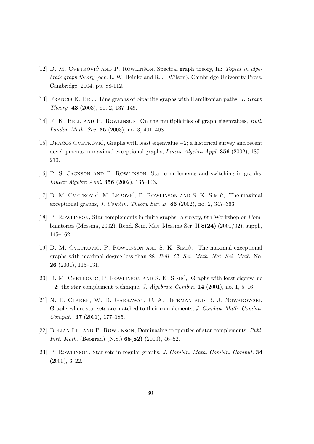- [12] D. M. CVETKOVIC AND P. ROWLINSON, Spectral graph theory, In: Topics in algebraic graph theory (eds. L. W. Beinke and R. J. Wilson), Cambridge University Press, Cambridge, 2004, pp. 88-112.
- [13] Francis K. Bell, Line graphs of bipartite graphs with Hamiltonian paths, J. Graph Theory 43 (2003), no. 2, 137–149.
- [14] F. K. Bell and P. Rowlinson, On the multiplicities of graph eigenvalues, Bull. London Math. Soc. 35 (2003), no. 3, 401–408.
- [15] DRAGOŠ CVETKOVIĆ, Graphs with least eigenvalue  $-2$ ; a historical survey and recent developments in maximal exceptional graphs, *Linear Algebra Appl.* 356 (2002), 189– 210.
- [16] P. S. Jackson and P. Rowlinson, Star complements and switching in graphs, Linear Algebra Appl. 356 (2002), 135–143.
- [17] D. M. CVETKOVIĆ, M. LEPOVIĆ, P. ROWLINSON AND S. K. SIMIĆ, The maximal exceptional graphs, J. Combin. Theory Ser. B 86 (2002), no. 2, 347–363.
- [18] P. Rowlinson, Star complements in finite graphs: a survey, 6th Workshop on Combinatorics (Messina, 2002). Rend. Sem. Mat. Messina Ser. II 8(24) (2001/02), suppl., 145–162.
- [19] D. M. CVETKOVIĆ, P. ROWLINSON AND S. K. SIMIĆ, The maximal exceptional graphs with maximal degree less than 28, Bull. Cl. Sci. Math. Nat. Sci. Math. No. 26 (2001), 115–131.
- [20] D. M. CVETKOVIĆ, P. ROWLINSON AND S. K. SIMIĆ, Graphs with least eigenvalue  $-2$ : the star complement technique, J. Algebraic Combin. 14 (2001), no. 1, 5–16.
- [21] N. E. Clarke, W. D. Garraway, C. A. Hickman and R. J. Nowakowski, Graphs where star sets are matched to their complements, J. Combin. Math. Combin. Comput. 37 (2001), 177–185.
- [22] Bolian Liu and P. Rowlinson, Dominating properties of star complements, Publ. Inst. Math. (Beograd) (N.S.) 68(82) (2000), 46–52.
- [23] P. Rowlinson, Star sets in regular graphs, J. Combin. Math. Combin. Comput. 34 (2000), 3–22.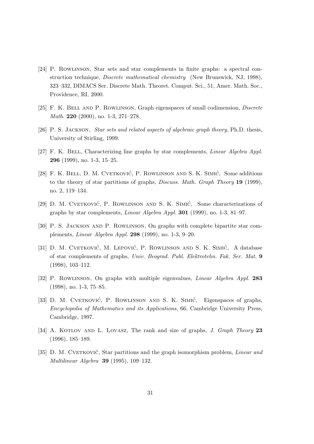- [24] P. Rowlinson, Star sets and star complements in finite graphs: a spectral construction technique, Discrete mathematical chemistry (New Brunswick, NJ, 1998), 323–332, DIMACS Ser. Discrete Math. Theoret. Comput. Sci., 51, Amer. Math. Soc., Providence, RI, 2000.
- [25] F. K. Bell and P. Rowlinson, Graph eigenspaces of small codimension, Discrete Math. 220 (2000), no. 1-3, 271–278.
- [26] P. S. JACKSON, *Star sets and related aspects of algebraic graph theory*, Ph.D. thesis, University of Stirling, 1999.
- [27] F. K. Bell, Characterizing line graphs by star complements, Linear Algebra Appl. 296 (1999), no. 1-3, 15–25.
- [28] F. K. BELL, D. M. CVETKOVIĆ, P. ROWLINSON AND S. K. SIMIĆ, Some additions to the theory of star partitions of graphs, *Discuss. Math. Graph Theory* 19 (1999), no. 2, 119–134.
- [29] D. M. CVETKOVIĆ, P. ROWLINSON AND S. K. SIMIĆ, Some characterizations of graphs by star complements, *Linear Algebra Appl.* **301** (1999), no. 1-3, 81–97.
- [30] P. S. Jackson and P. Rowlinson, On graphs with complete bipartite star complements, Linear Algebra Appl. 298 (1999), no. 1-3, 9–20.
- [31] D. M. CVETKOVIĆ, M. LEPOVIĆ, P. ROWLINSON AND S. K. SIMIĆ, A database of star complements of graphs, Univ. Beograd. Publ. Elektrotehn. Fak. Ser. Mat. 9 (1998), 103–112.
- [32] P. Rowlinson, On graphs with multiple eigenvalues, Linear Algebra Appl. 283 (1998), no. 1-3, 75–85.
- [33] D. M. CVETKOVIĆ, P. ROWLINSON AND S. K. SIMIĆ, Eigenspaces of graphs, Encyclopedia of Mathematics and its Applications, 66, Cambridge University Press, Cambridge, 1997.
- [34] A. KOTLOV AND L. LOVASZ, The rank and size of graphs, *J. Graph Theory* 23 (1996), 185–189.
- [35] D. M. CVETKOVIĆ, Star partitions and the graph isomorphism problem, *Linear and* Multilinear Algebra 39 (1995), 109–132.